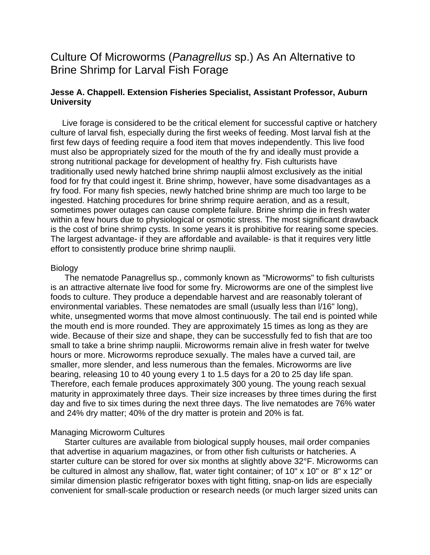# Culture Of Microworms (*Panagrellus* sp.) As An Alternative to Brine Shrimp for Larval Fish Forage

## **Jesse A. Chappell. Extension Fisheries Specialist, Assistant Professor, Auburn University**

 Live forage is considered to be the critical element for successful captive or hatchery culture of larval fish, especially during the first weeks of feeding. Most larval fish at the first few days of feeding require a food item that moves independently. This live food must also be appropriately sized for the mouth of the fry and ideally must provide a strong nutritional package for development of healthy fry. Fish culturists have traditionally used newly hatched brine shrimp nauplii almost exclusively as the initial food for fry that could ingest it. Brine shrimp, however, have some disadvantages as a fry food. For many fish species, newly hatched brine shrimp are much too large to be ingested. Hatching procedures for brine shrimp require aeration, and as a result, sometimes power outages can cause complete failure. Brine shrimp die in fresh water within a few hours due to physiological or osmotic stress. The most significant drawback is the cost of brine shrimp cysts. In some years it is prohibitive for rearing some species. The largest advantage- if they are affordable and available- is that it requires very little effort to consistently produce brine shrimp nauplii.

## **Biology**

 The nematode Panagrellus sp., commonly known as "Microworms" to fish culturists is an attractive alternate live food for some fry. Microworms are one of the simplest live foods to culture. They produce a dependable harvest and are reasonably tolerant of environmental variables. These nematodes are small (usually less than l/16" long), white, unsegmented worms that move almost continuously. The tail end is pointed while the mouth end is more rounded. They are approximately 15 times as long as they are wide. Because of their size and shape, they can be successfully fed to fish that are too small to take a brine shrimp nauplii. Microworms remain alive in fresh water for twelve hours or more. Microworms reproduce sexually. The males have a curved tail, are smaller, more slender, and less numerous than the females. Microworms are live bearing, releasing 10 to 40 young every 1 to 1.5 days for a 20 to 25 day life span. Therefore, each female produces approximately 300 young. The young reach sexual maturity in approximately three days. Their size increases by three times during the first day and five to six times during the next three days. The live nematodes are 76% water and 24% dry matter; 40% of the dry matter is protein and 20% is fat.

## Managing Microworm Cultures

 Starter cultures are available from biological supply houses, mail order companies that advertise in aquarium magazines, or from other fish culturists or hatcheries. A starter culture can be stored for over six months at slightly above 32°F. Microworms can be cultured in almost any shallow, flat, water tight container; of 10" x 10" or 8" x 12" or similar dimension plastic refrigerator boxes with tight fitting, snap-on lids are especially convenient for small-scale production or research needs (or much larger sized units can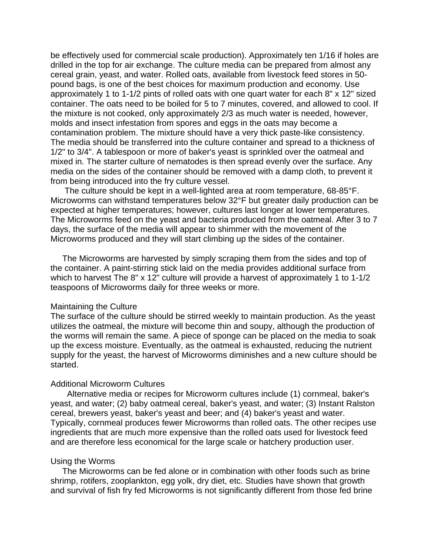be effectively used for commercial scale production). Approximately ten 1/16 if holes are drilled in the top for air exchange. The culture media can be prepared from almost any cereal grain, yeast, and water. Rolled oats, available from livestock feed stores in 50 pound bags, is one of the best choices for maximum production and economy. Use approximately 1 to 1-1/2 pints of rolled oats with one quart water for each 8" x 12" sized container. The oats need to be boiled for 5 to 7 minutes, covered, and allowed to cool. If the mixture is not cooked, only approximately 2/3 as much water is needed, however, molds and insect infestation from spores and eggs in the oats may become a contamination problem. The mixture should have a very thick paste-like consistency. The media should be transferred into the culture container and spread to a thickness of 1/2" to 3/4". A tablespoon or more of baker's yeast is sprinkled over the oatmeal and mixed in. The starter culture of nematodes is then spread evenly over the surface. Any media on the sides of the container should be removed with a damp cloth, to prevent it from being introduced into the fry culture vessel.

 The culture should be kept in a well-lighted area at room temperature, 68-85°F. Microworms can withstand temperatures below 32°F but greater daily production can be expected at higher temperatures; however, cultures last longer at lower temperatures. The Microworms feed on the yeast and bacteria produced from the oatmeal. After 3 to 7 days, the surface of the media will appear to shimmer with the movement of the Microworms produced and they will start climbing up the sides of the container.

 The Microworms are harvested by simply scraping them from the sides and top of the container. A paint-stirring stick laid on the media provides additional surface from which to harvest The 8" x 12" culture will provide a harvest of approximately 1 to 1-1/2 teaspoons of Microworms daily for three weeks or more.

## Maintaining the Culture

The surface of the culture should be stirred weekly to maintain production. As the yeast utilizes the oatmeal, the mixture will become thin and soupy, although the production of the worms will remain the same. A piece of sponge can be placed on the media to soak up the excess moisture. Eventually, as the oatmeal is exhausted, reducing the nutrient supply for the yeast, the harvest of Microworms diminishes and a new culture should be started.

## Additional Microworm Cultures

 Alternative media or recipes for Microworm cultures include (1) cornmeal, baker's yeast, and water; (2) baby oatmeal cereal, baker's yeast, and water; (3) Instant Ralston cereal, brewers yeast, baker's yeast and beer; and (4) baker's yeast and water. Typically, cornmeal produces fewer Microworms than rolled oats. The other recipes use ingredients that are much more expensive than the rolled oats used for livestock feed and are therefore less economical for the large scale or hatchery production user.

#### Using the Worms

 The Microworms can be fed alone or in combination with other foods such as brine shrimp, rotifers, zooplankton, egg yolk, dry diet, etc. Studies have shown that growth and survival of fish fry fed Microworms is not significantly different from those fed brine